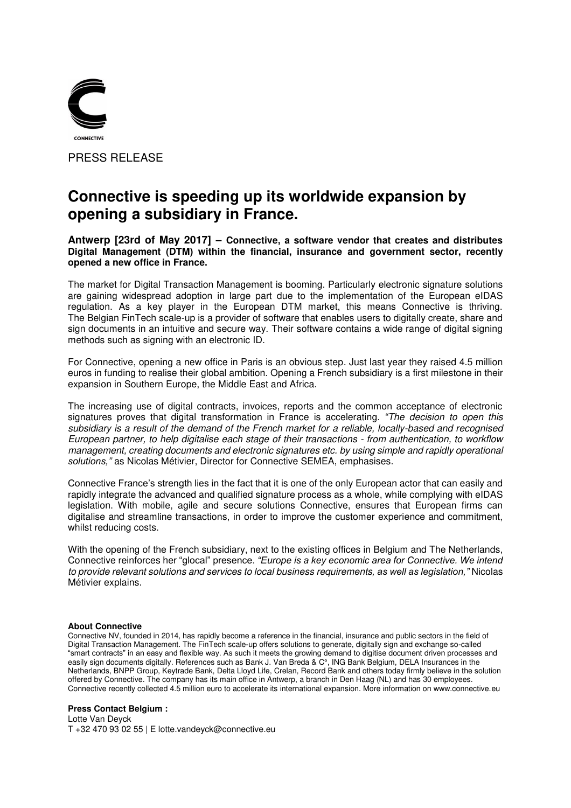

## **Connective is speeding up its worldwide expansion by opening a subsidiary in France.**

## **Antwerp [23rd of May 2017] – Connective, a software vendor that creates and distributes Digital Management (DTM) within the financial, insurance and government sector, recently opened a new office in France.**

The market for Digital Transaction Management is booming. Particularly electronic signature solutions are gaining widespread adoption in large part due to the implementation of the European eIDAS regulation. As a key player in the European DTM market, this means Connective is thriving. The Belgian FinTech scale-up is a provider of software that enables users to digitally create, share and sign documents in an intuitive and secure way. Their software contains a wide range of digital signing methods such as signing with an electronic ID.

For Connective, opening a new office in Paris is an obvious step. Just last year they raised 4.5 million euros in funding to realise their global ambition. Opening a French subsidiary is a first milestone in their expansion in Southern Europe, the Middle East and Africa.

The increasing use of digital contracts, invoices, reports and the common acceptance of electronic signatures proves that digital transformation in France is accelerating. *"*The decision to open this subsidiary is a result of the demand of the French market for a reliable, locally-based and recognised European partner, to help digitalise each stage of their transactions - from authentication, to workflow management, creating documents and electronic signatures etc. by using simple and rapidly operational *solutions,"* as Nicolas Métivier, Director for Connective SEMEA, emphasises.

Connective France's strength lies in the fact that it is one of the only European actor that can easily and rapidly integrate the advanced and qualified signature process as a whole, while complying with eIDAS legislation. With mobile, agile and secure solutions Connective, ensures that European firms can digitalise and streamline transactions, in order to improve the customer experience and commitment, whilst reducing costs.

With the opening of the French subsidiary, next to the existing offices in Belgium and The Netherlands, Connective reinforces her "glocal" presence. *"Europe is a key economic area for Connective. We intend*  to provide relevant solutions and services to local business requirements*, as well as legislation,"* Nicolas Métivier explains.

## **About Connective**

Connective NV, founded in 2014, has rapidly become a reference in the financial, insurance and public sectors in the field of Digital Transaction Management. The FinTech scale-up offers solutions to generate, digitally sign and exchange so-called "smart contracts" in an easy and flexible way. As such it meets the growing demand to digitise document driven processes and easily sign documents digitally. References such as Bank J. Van Breda & C°, ING Bank Belgium, DELA Insurances in the Netherlands, BNPP Group, Keytrade Bank, Delta Lloyd Life, Crelan, Record Bank and others today firmly believe in the solution offered by Connective. The company has its main office in Antwerp, a branch in Den Haag (NL) and has 30 employees. Connective recently collected 4.5 million euro to accelerate its international expansion. More information on www.connective.eu

## **Press Contact Belgium :**

Lotte Van Deyck T +32 470 93 02 55 | E lotte.vandeyck@connective.eu